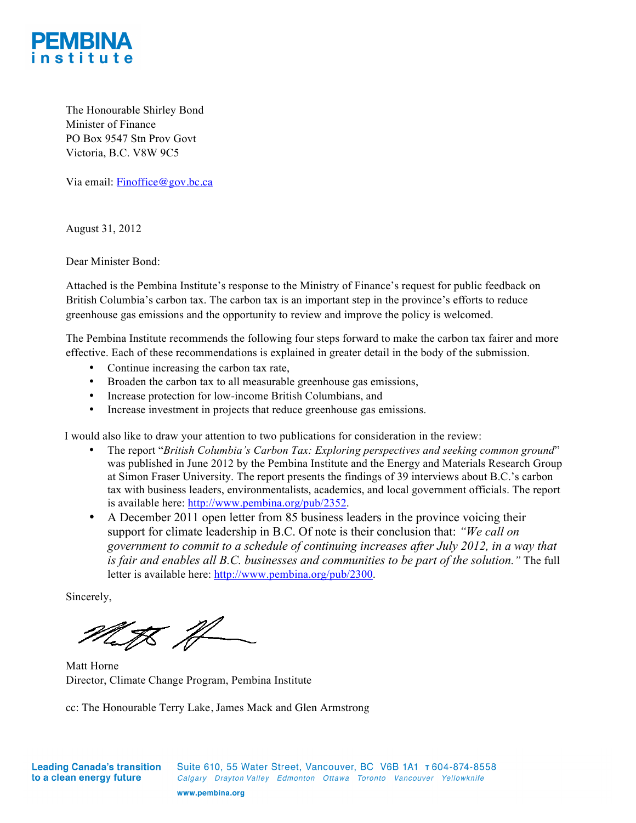

The Honourable Shirley Bond Minister of Finance PO Box 9547 Stn Prov Govt Victoria, B.C. V8W 9C5

Via email: Finoffice@gov.bc.ca

August 31, 2012

Dear Minister Bond:

Attached is the Pembina Institute's response to the Ministry of Finance's request for public feedback on British Columbia's carbon tax. The carbon tax is an important step in the province's efforts to reduce greenhouse gas emissions and the opportunity to review and improve the policy is welcomed.

The Pembina Institute recommends the following four steps forward to make the carbon tax fairer and more effective. Each of these recommendations is explained in greater detail in the body of the submission.

- Continue increasing the carbon tax rate,
- Broaden the carbon tax to all measurable greenhouse gas emissions,
- Increase protection for low-income British Columbians, and
- Increase investment in projects that reduce greenhouse gas emissions.

I would also like to draw your attention to two publications for consideration in the review:

- The report "*British Columbia's Carbon Tax: Exploring perspectives and seeking common ground*" was published in June 2012 by the Pembina Institute and the Energy and Materials Research Group at Simon Fraser University. The report presents the findings of 39 interviews about B.C.'s carbon tax with business leaders, environmentalists, academics, and local government officials. The report is available here: http://www.pembina.org/pub/2352.
- A December 2011 open letter from 85 business leaders in the province voicing their support for climate leadership in B.C. Of note is their conclusion that: *"We call on government to commit to a schedule of continuing increases after July 2012, in a way that is fair and enables all B.C. businesses and communities to be part of the solution."* The full letter is available here: http://www.pembina.org/pub/2300.

Sincerely,

Meth H

Matt Horne Director, Climate Change Program, Pembina Institute

cc: The Honourable Terry Lake, James Mack and Glen Armstrong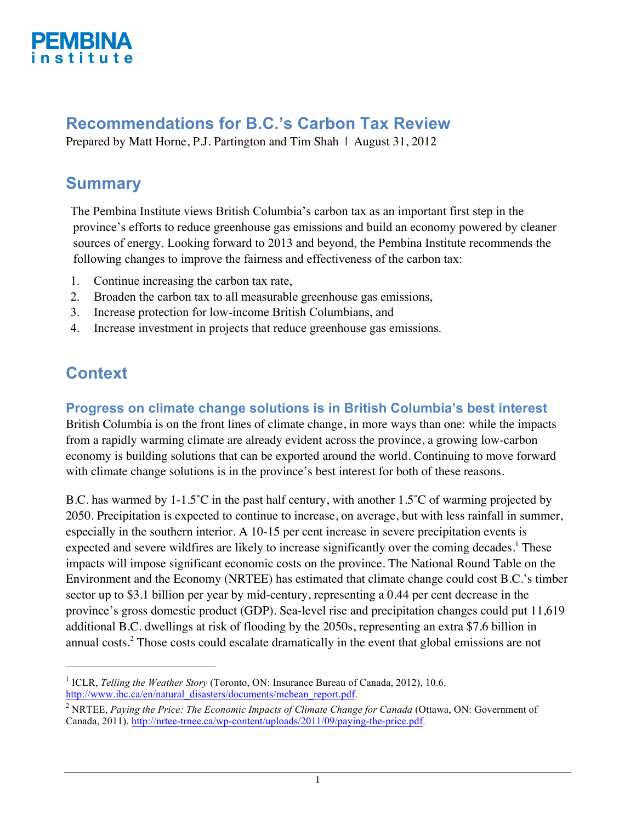

# **Recommendations for B.C.'s Carbon Tax Review**

Prepared by Matt Horne, P.J. Partington and Tim Shah | August 31, 2012

# **Summary**

The Pembina Institute views British Columbia's carbon tax as an important first step in the province's efforts to reduce greenhouse gas emissions and build an economy powered by cleaner sources of energy. Looking forward to 2013 and beyond, the Pembina Institute recommends the following changes to improve the fairness and effectiveness of the carbon tax:

- 1. Continue increasing the carbon tax rate,
- 2. Broaden the carbon tax to all measurable greenhouse gas emissions,
- 3. Increase protection for low-income British Columbians, and
- 4. Increase investment in projects that reduce greenhouse gas emissions.

# **Context**

-

## **Progress on climate change solutions is in British Columbia's best interest**

British Columbia is on the front lines of climate change, in more ways than one: while the impacts from a rapidly warming climate are already evident across the province, a growing low-carbon economy is building solutions that can be exported around the world. Continuing to move forward with climate change solutions is in the province's best interest for both of these reasons.

B.C. has warmed by 1-1.5˚C in the past half century, with another 1.5˚C of warming projected by 2050. Precipitation is expected to continue to increase, on average, but with less rainfall in summer, especially in the southern interior. A 10-15 per cent increase in severe precipitation events is expected and severe wildfires are likely to increase significantly over the coming decades.<sup>1</sup> These impacts will impose significant economic costs on the province. The National Round Table on the Environment and the Economy (NRTEE) has estimated that climate change could cost B.C.'s timber sector up to \$3.1 billion per year by mid-century, representing a 0.44 per cent decrease in the province's gross domestic product (GDP). Sea-level rise and precipitation changes could put 11,619 additional B.C. dwellings at risk of flooding by the 2050s, representing an extra \$7.6 billion in annual costs. $2^2$  Those costs could escalate dramatically in the event that global emissions are not

<sup>1</sup> ICLR, *Telling the Weather Story* (Toronto, ON: Insurance Bureau of Canada, 2012), 10.6. http://www.jbc.ca/en/natural\_disasters/documents/mcbean\_report.pdf.

<sup>2</sup> NRTEE, *Paying the Price: The Economic Impacts of Climate Change for Canada* (Ottawa, ON: Government of Canada, 2011). http://nrtee-trnee.ca/wp-content/uploads/2011/09/paying-the-price.pdf.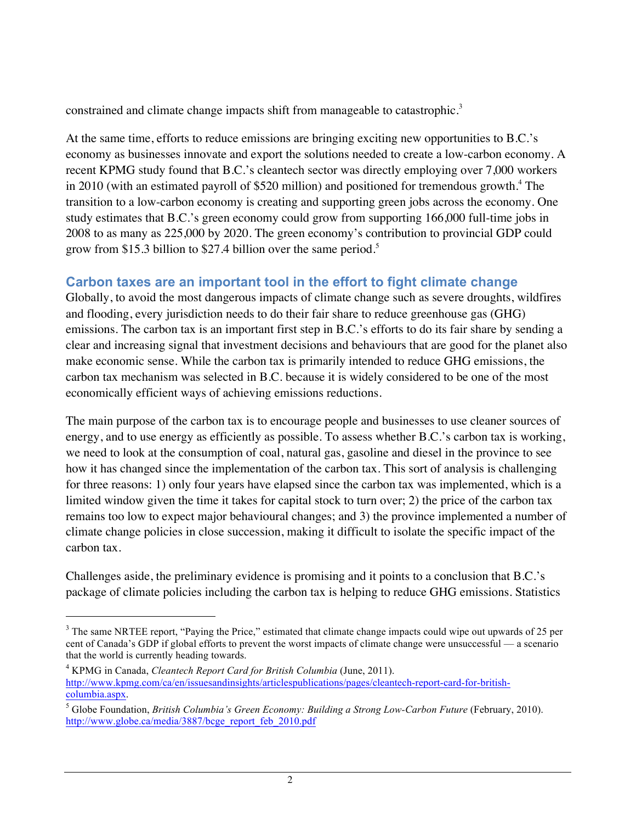constrained and climate change impacts shift from manageable to catastrophic.<sup>3</sup>

At the same time, efforts to reduce emissions are bringing exciting new opportunities to B.C.'s economy as businesses innovate and export the solutions needed to create a low-carbon economy. A recent KPMG study found that B.C.'s cleantech sector was directly employing over 7,000 workers in 2010 (with an estimated payroll of \$520 million) and positioned for tremendous growth.<sup>4</sup> The transition to a low-carbon economy is creating and supporting green jobs across the economy. One study estimates that B.C.'s green economy could grow from supporting 166,000 full-time jobs in 2008 to as many as 225,000 by 2020. The green economy's contribution to provincial GDP could grow from \$15.3 billion to \$27.4 billion over the same period.<sup>5</sup>

## **Carbon taxes are an important tool in the effort to fight climate change**

Globally, to avoid the most dangerous impacts of climate change such as severe droughts, wildfires and flooding, every jurisdiction needs to do their fair share to reduce greenhouse gas (GHG) emissions. The carbon tax is an important first step in B.C.'s efforts to do its fair share by sending a clear and increasing signal that investment decisions and behaviours that are good for the planet also make economic sense. While the carbon tax is primarily intended to reduce GHG emissions, the carbon tax mechanism was selected in B.C. because it is widely considered to be one of the most economically efficient ways of achieving emissions reductions.

The main purpose of the carbon tax is to encourage people and businesses to use cleaner sources of energy, and to use energy as efficiently as possible. To assess whether B.C.'s carbon tax is working, we need to look at the consumption of coal, natural gas, gasoline and diesel in the province to see how it has changed since the implementation of the carbon tax. This sort of analysis is challenging for three reasons: 1) only four years have elapsed since the carbon tax was implemented, which is a limited window given the time it takes for capital stock to turn over; 2) the price of the carbon tax remains too low to expect major behavioural changes; and 3) the province implemented a number of climate change policies in close succession, making it difficult to isolate the specific impact of the carbon tax.

Challenges aside, the preliminary evidence is promising and it points to a conclusion that B.C.'s package of climate policies including the carbon tax is helping to reduce GHG emissions. Statistics

<sup>&</sup>lt;sup>3</sup> The same NRTEE report, "Paying the Price," estimated that climate change impacts could wipe out upwards of 25 per cent of Canada's GDP if global efforts to prevent the worst impacts of climate change were unsuccessful — a scenario that the world is currently heading towards.

<sup>4</sup> KPMG in Canada, *Cleantech Report Card for British Columbia* (June, 2011). http://www.kpmg.com/ca/en/issuesandinsights/articlespublications/pages/cleantech-report-card-for-britishcolumbia.aspx.

<sup>5</sup> Globe Foundation, *British Columbia's Green Economy: Building a Strong Low-Carbon Future* (February, 2010). http://www.globe.ca/media/3887/bcge\_report\_feb\_2010.pdf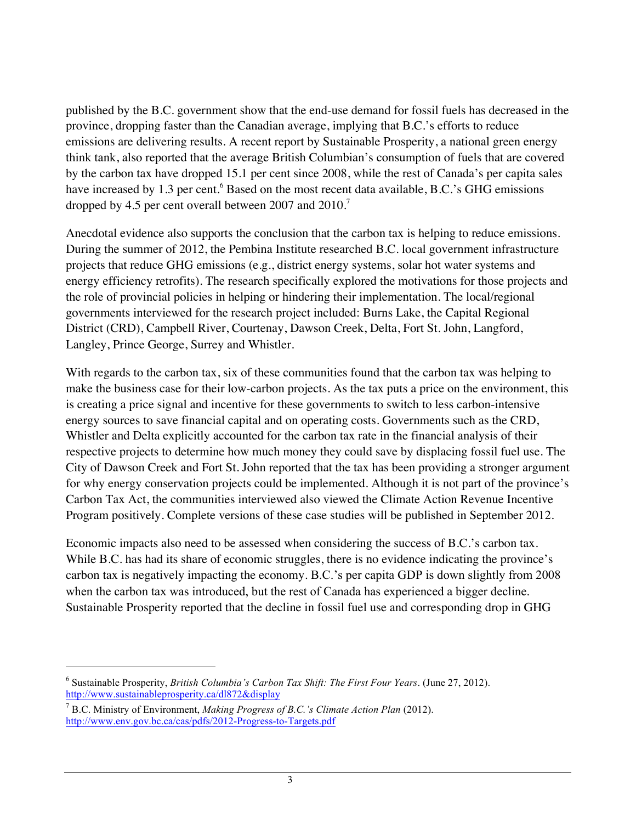published by the B.C. government show that the end-use demand for fossil fuels has decreased in the province, dropping faster than the Canadian average, implying that B.C.'s efforts to reduce emissions are delivering results. A recent report by Sustainable Prosperity, a national green energy think tank, also reported that the average British Columbian's consumption of fuels that are covered by the carbon tax have dropped 15.1 per cent since 2008, while the rest of Canada's per capita sales have increased by 1.3 per cent.<sup>6</sup> Based on the most recent data available, B.C.'s GHG emissions dropped by 4.5 per cent overall between 2007 and 2010.<sup>7</sup>

Anecdotal evidence also supports the conclusion that the carbon tax is helping to reduce emissions. During the summer of 2012, the Pembina Institute researched B.C. local government infrastructure projects that reduce GHG emissions (e.g., district energy systems, solar hot water systems and energy efficiency retrofits). The research specifically explored the motivations for those projects and the role of provincial policies in helping or hindering their implementation. The local/regional governments interviewed for the research project included: Burns Lake, the Capital Regional District (CRD), Campbell River, Courtenay, Dawson Creek, Delta, Fort St. John, Langford, Langley, Prince George, Surrey and Whistler.

With regards to the carbon tax, six of these communities found that the carbon tax was helping to make the business case for their low-carbon projects. As the tax puts a price on the environment, this is creating a price signal and incentive for these governments to switch to less carbon-intensive energy sources to save financial capital and on operating costs. Governments such as the CRD, Whistler and Delta explicitly accounted for the carbon tax rate in the financial analysis of their respective projects to determine how much money they could save by displacing fossil fuel use. The City of Dawson Creek and Fort St. John reported that the tax has been providing a stronger argument for why energy conservation projects could be implemented. Although it is not part of the province's Carbon Tax Act, the communities interviewed also viewed the Climate Action Revenue Incentive Program positively. Complete versions of these case studies will be published in September 2012.

Economic impacts also need to be assessed when considering the success of B.C.'s carbon tax. While B.C. has had its share of economic struggles, there is no evidence indicating the province's carbon tax is negatively impacting the economy. B.C.'s per capita GDP is down slightly from 2008 when the carbon tax was introduced, but the rest of Canada has experienced a bigger decline. Sustainable Prosperity reported that the decline in fossil fuel use and corresponding drop in GHG

<sup>6</sup> Sustainable Prosperity, *British Columbia's Carbon Tax Shift: The First Four Years*. (June 27, 2012). http://www.sustainableprosperity.ca/dl872&display

<sup>7</sup> B.C. Ministry of Environment, *Making Progress of B.C.'s Climate Action Plan* (2012). http://www.env.gov.bc.ca/cas/pdfs/2012-Progress-to-Targets.pdf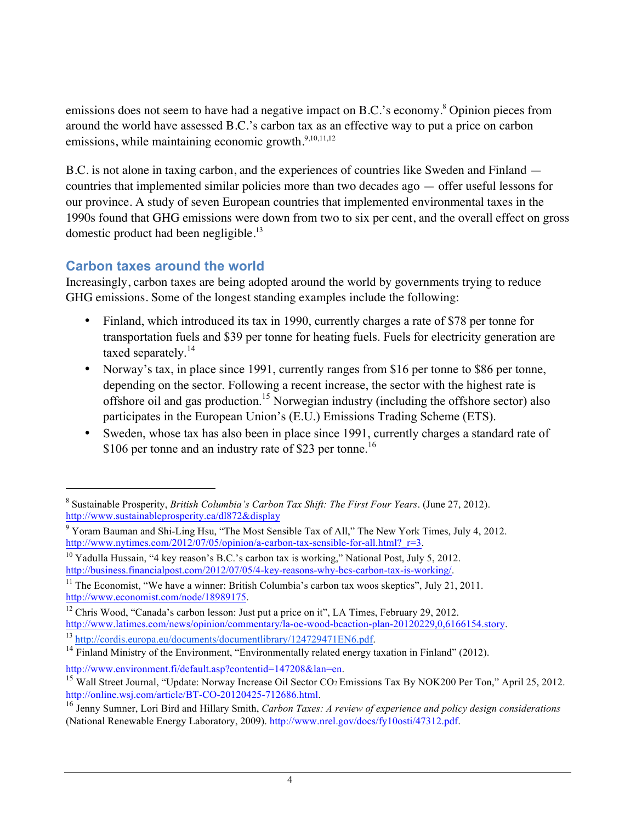emissions does not seem to have had a negative impact on B.C.'s economy.<sup>8</sup> Opinion pieces from around the world have assessed B.C.'s carbon tax as an effective way to put a price on carbon emissions, while maintaining economic growth.<sup>9,10,11,12</sup>

B.C. is not alone in taxing carbon, and the experiences of countries like Sweden and Finland countries that implemented similar policies more than two decades ago — offer useful lessons for our province. A study of seven European countries that implemented environmental taxes in the 1990s found that GHG emissions were down from two to six per cent, and the overall effect on gross domestic product had been negligible.<sup>13</sup>

## **Carbon taxes around the world**

-

Increasingly, carbon taxes are being adopted around the world by governments trying to reduce GHG emissions. Some of the longest standing examples include the following:

- Finland, which introduced its tax in 1990, currently charges a rate of \$78 per tonne for transportation fuels and \$39 per tonne for heating fuels. Fuels for electricity generation are taxed separately.<sup>14</sup>
- Norway's tax, in place since 1991, currently ranges from \$16 per tonne to \$86 per tonne, depending on the sector. Following a recent increase, the sector with the highest rate is offshore oil and gas production.15 Norwegian industry (including the offshore sector) also participates in the European Union's (E.U.) Emissions Trading Scheme (ETS).
- Sweden, whose tax has also been in place since 1991, currently charges a standard rate of \$106 per tonne and an industry rate of \$23 per tonne.<sup>16</sup>

<sup>8</sup> Sustainable Prosperity, *British Columbia's Carbon Tax Shift: The First Four Years*. (June 27, 2012). http://www.sustainableprosperity.ca/dl872&display

<sup>&</sup>lt;sup>9</sup> Yoram Bauman and Shi-Ling Hsu, "The Most Sensible Tax of All," The New York Times, July 4, 2012. http://www.nytimes.com/2012/07/05/opinion/a-carbon-tax-sensible-for-all.html? $r=3$ .

<sup>&</sup>lt;sup>10</sup> Yadulla Hussain, "4 key reason's B.C.'s carbon tax is working," National Post, July 5, 2012. http://business.financialpost.com/2012/07/05/4-key-reasons-why-bcs-carbon-tax-is-working/.

<sup>&</sup>lt;sup>11</sup> The Economist, "We have a winner: British Columbia's carbon tax woos skeptics", July 21, 2011. http://www.economist.com/node/18989175.

<sup>&</sup>lt;sup>12</sup> Chris Wood, "Canada's carbon lesson: Just put a price on it", LA Times, February 29, 2012. http://www.latimes.com/news/opinion/commentary/la-oe-wood-bcaction-plan-20120229,0,6166154.story.

<sup>13</sup> http://cordis.europa.eu/documents/documentlibrary/124729471EN6.pdf.

 $14$  Finland Ministry of the Environment, "Environmentally related energy taxation in Finland" (2012).

http://www.environment.fi/default.asp?contentid=147208&lan=en.

<sup>&</sup>lt;sup>15</sup> Wall Street Journal, "Update: Norway Increase Oil Sector CO<sub>2</sub> Emissions Tax By NOK200 Per Ton," April 25, 2012. http://online.wsj.com/article/BT-CO-20120425-712686.html.

<sup>16</sup> Jenny Sumner, Lori Bird and Hillary Smith, *Carbon Taxes: A review of experience and policy design considerations*  (National Renewable Energy Laboratory, 2009). http://www.nrel.gov/docs/fy10osti/47312.pdf.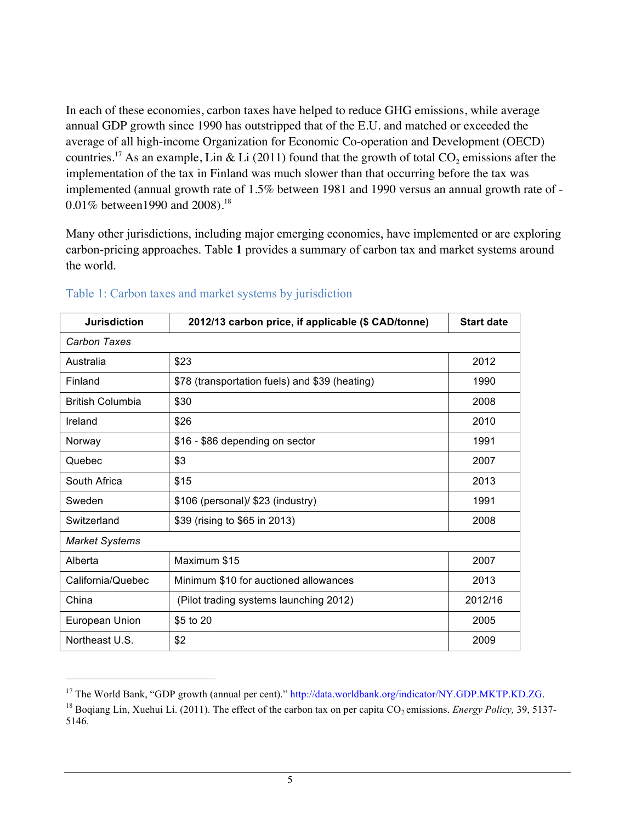In each of these economies, carbon taxes have helped to reduce GHG emissions, while average annual GDP growth since 1990 has outstripped that of the E.U. and matched or exceeded the average of all high-income Organization for Economic Co-operation and Development (OECD) countries.<sup>17</sup> As an example, Lin & Li (2011) found that the growth of total  $CO_2$  emissions after the implementation of the tax in Finland was much slower than that occurring before the tax was implemented (annual growth rate of 1.5% between 1981 and 1990 versus an annual growth rate of - 0.01% between 1990 and 2008).<sup>18</sup>

Many other jurisdictions, including major emerging economies, have implemented or are exploring carbon-pricing approaches. Table **1** provides a summary of carbon tax and market systems around the world.

| <b>Jurisdiction</b>     | 2012/13 carbon price, if applicable (\$ CAD/tonne) | <b>Start date</b> |
|-------------------------|----------------------------------------------------|-------------------|
| Carbon Taxes            |                                                    |                   |
| Australia               | \$23                                               | 2012              |
| Finland                 | \$78 (transportation fuels) and \$39 (heating)     | 1990              |
| <b>British Columbia</b> | \$30                                               | 2008              |
| Ireland                 | \$26                                               | 2010              |
| Norway                  | \$16 - \$86 depending on sector                    | 1991              |
| Quebec                  | \$3                                                | 2007              |
| South Africa            | \$15                                               | 2013              |
| Sweden                  | \$106 (personal)/ \$23 (industry)                  | 1991              |
| Switzerland             | \$39 (rising to \$65 in 2013)                      | 2008              |
| <b>Market Systems</b>   |                                                    |                   |
| Alberta                 | Maximum \$15                                       | 2007              |
| California/Quebec       | Minimum \$10 for auctioned allowances              | 2013              |
| China                   | (Pilot trading systems launching 2012)             | 2012/16           |
| European Union          | \$5 to 20                                          | 2005              |
| Northeast U.S.          | \$2                                                | 2009              |

#### Table 1: Carbon taxes and market systems by jurisdiction

<u>.</u>

<sup>&</sup>lt;sup>17</sup> The World Bank, "GDP growth (annual per cent)." http://data.worldbank.org/indicator/NY.GDP.MKTP.KD.ZG.

<sup>&</sup>lt;sup>18</sup> Bogiang Lin, Xuehui Li. (2011). The effect of the carbon tax on per capita  $CO<sub>2</sub>$  emissions. *Energy Policy*, 39, 5137-5146.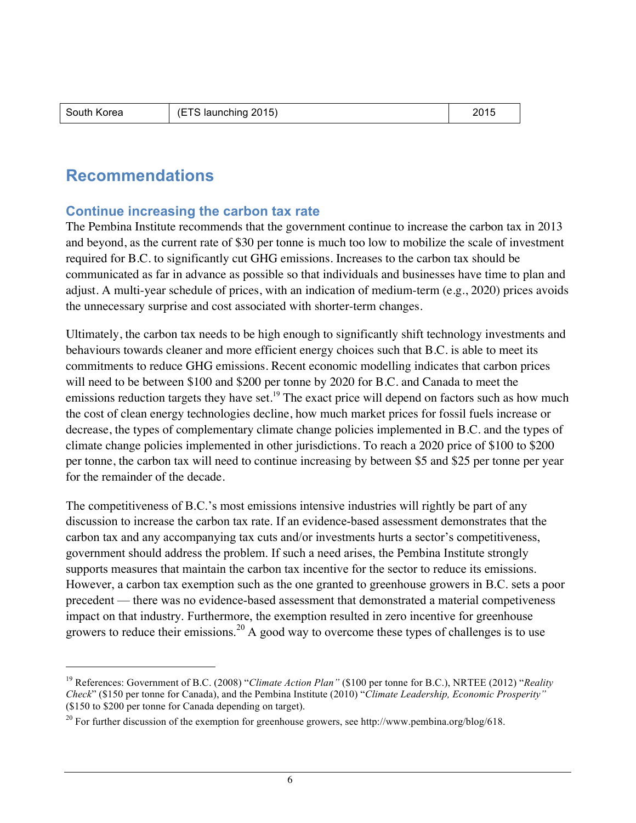-

## **Recommendations**

#### **Continue increasing the carbon tax rate**

The Pembina Institute recommends that the government continue to increase the carbon tax in 2013 and beyond, as the current rate of \$30 per tonne is much too low to mobilize the scale of investment required for B.C. to significantly cut GHG emissions. Increases to the carbon tax should be communicated as far in advance as possible so that individuals and businesses have time to plan and adjust. A multi-year schedule of prices, with an indication of medium-term (e.g., 2020) prices avoids the unnecessary surprise and cost associated with shorter-term changes.

Ultimately, the carbon tax needs to be high enough to significantly shift technology investments and behaviours towards cleaner and more efficient energy choices such that B.C. is able to meet its commitments to reduce GHG emissions. Recent economic modelling indicates that carbon prices will need to be between \$100 and \$200 per tonne by 2020 for B.C. and Canada to meet the emissions reduction targets they have set.<sup>19</sup> The exact price will depend on factors such as how much the cost of clean energy technologies decline, how much market prices for fossil fuels increase or decrease, the types of complementary climate change policies implemented in B.C. and the types of climate change policies implemented in other jurisdictions. To reach a 2020 price of \$100 to \$200 per tonne, the carbon tax will need to continue increasing by between \$5 and \$25 per tonne per year for the remainder of the decade.

The competitiveness of B.C.'s most emissions intensive industries will rightly be part of any discussion to increase the carbon tax rate. If an evidence-based assessment demonstrates that the carbon tax and any accompanying tax cuts and/or investments hurts a sector's competitiveness, government should address the problem. If such a need arises, the Pembina Institute strongly supports measures that maintain the carbon tax incentive for the sector to reduce its emissions. However, a carbon tax exemption such as the one granted to greenhouse growers in B.C. sets a poor precedent — there was no evidence-based assessment that demonstrated a material competiveness impact on that industry. Furthermore, the exemption resulted in zero incentive for greenhouse growers to reduce their emissions.<sup>20</sup> A good way to overcome these types of challenges is to use

<sup>19</sup> References: Government of B.C. (2008) "*Climate Action Plan"* (\$100 per tonne for B.C.), NRTEE (2012) "*Reality Check*" (\$150 per tonne for Canada), and the Pembina Institute (2010) "*Climate Leadership, Economic Prosperity"* (\$150 to \$200 per tonne for Canada depending on target).

<sup>&</sup>lt;sup>20</sup> For further discussion of the exemption for greenhouse growers, see http://www.pembina.org/blog/618.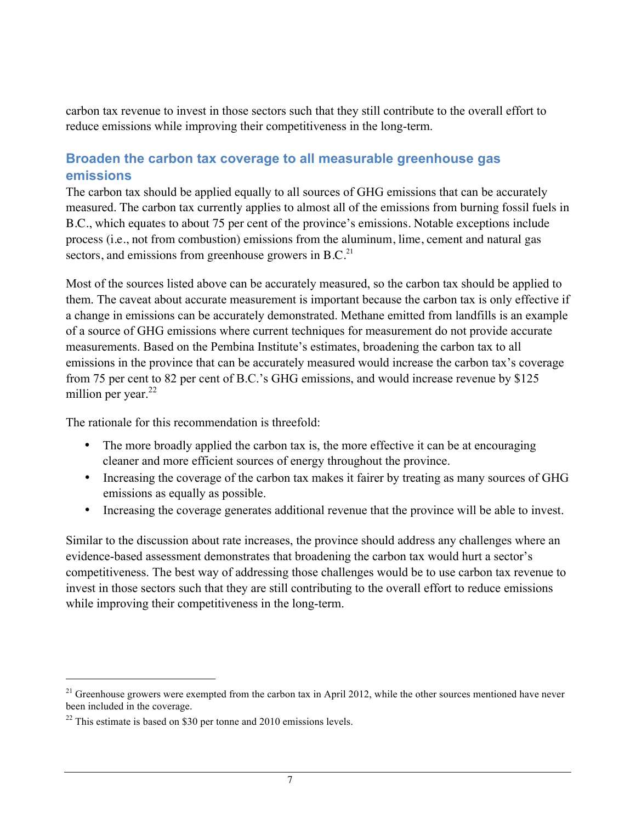carbon tax revenue to invest in those sectors such that they still contribute to the overall effort to reduce emissions while improving their competitiveness in the long-term.

## **Broaden the carbon tax coverage to all measurable greenhouse gas emissions**

The carbon tax should be applied equally to all sources of GHG emissions that can be accurately measured. The carbon tax currently applies to almost all of the emissions from burning fossil fuels in B.C., which equates to about 75 per cent of the province's emissions. Notable exceptions include process (i.e., not from combustion) emissions from the aluminum, lime, cement and natural gas sectors, and emissions from greenhouse growers in  $B.C.<sup>21</sup>$ 

Most of the sources listed above can be accurately measured, so the carbon tax should be applied to them. The caveat about accurate measurement is important because the carbon tax is only effective if a change in emissions can be accurately demonstrated. Methane emitted from landfills is an example of a source of GHG emissions where current techniques for measurement do not provide accurate measurements. Based on the Pembina Institute's estimates, broadening the carbon tax to all emissions in the province that can be accurately measured would increase the carbon tax's coverage from 75 per cent to 82 per cent of B.C.'s GHG emissions, and would increase revenue by \$125 million per year. $^{22}$ 

The rationale for this recommendation is threefold:

- The more broadly applied the carbon tax is, the more effective it can be at encouraging cleaner and more efficient sources of energy throughout the province.
- Increasing the coverage of the carbon tax makes it fairer by treating as many sources of GHG emissions as equally as possible.
- Increasing the coverage generates additional revenue that the province will be able to invest.

Similar to the discussion about rate increases, the province should address any challenges where an evidence-based assessment demonstrates that broadening the carbon tax would hurt a sector's competitiveness. The best way of addressing those challenges would be to use carbon tax revenue to invest in those sectors such that they are still contributing to the overall effort to reduce emissions while improving their competitiveness in the long-term.

<u>.</u>

 $21$  Greenhouse growers were exempted from the carbon tax in April 2012, while the other sources mentioned have never been included in the coverage.

 $22$  This estimate is based on \$30 per tonne and 2010 emissions levels.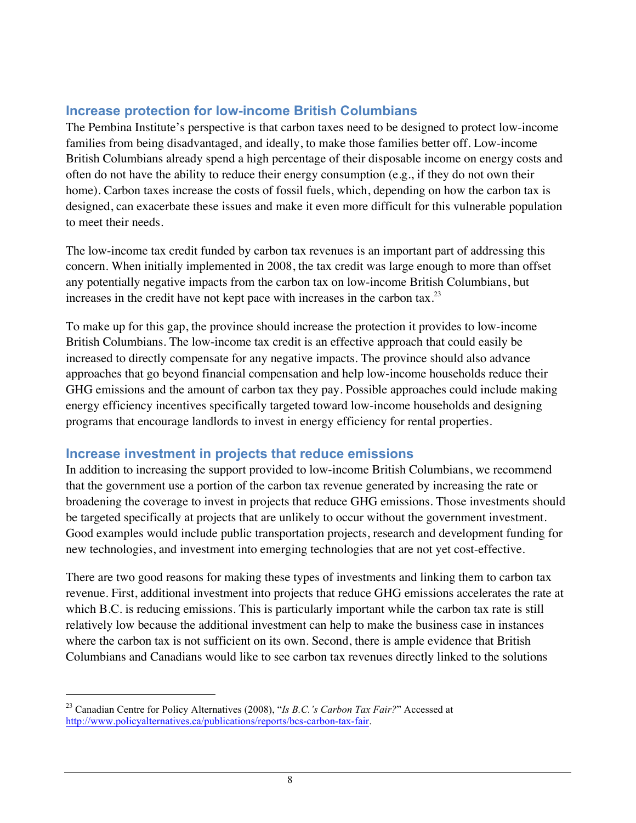## **Increase protection for low-income British Columbians**

The Pembina Institute's perspective is that carbon taxes need to be designed to protect low-income families from being disadvantaged, and ideally, to make those families better off. Low-income British Columbians already spend a high percentage of their disposable income on energy costs and often do not have the ability to reduce their energy consumption (e.g., if they do not own their home). Carbon taxes increase the costs of fossil fuels, which, depending on how the carbon tax is designed, can exacerbate these issues and make it even more difficult for this vulnerable population to meet their needs.

The low-income tax credit funded by carbon tax revenues is an important part of addressing this concern. When initially implemented in 2008, the tax credit was large enough to more than offset any potentially negative impacts from the carbon tax on low-income British Columbians, but increases in the credit have not kept pace with increases in the carbon tax.<sup>23</sup>

To make up for this gap, the province should increase the protection it provides to low-income British Columbians. The low-income tax credit is an effective approach that could easily be increased to directly compensate for any negative impacts. The province should also advance approaches that go beyond financial compensation and help low-income households reduce their GHG emissions and the amount of carbon tax they pay. Possible approaches could include making energy efficiency incentives specifically targeted toward low-income households and designing programs that encourage landlords to invest in energy efficiency for rental properties.

### **Increase investment in projects that reduce emissions**

In addition to increasing the support provided to low-income British Columbians, we recommend that the government use a portion of the carbon tax revenue generated by increasing the rate or broadening the coverage to invest in projects that reduce GHG emissions. Those investments should be targeted specifically at projects that are unlikely to occur without the government investment. Good examples would include public transportation projects, research and development funding for new technologies, and investment into emerging technologies that are not yet cost-effective.

There are two good reasons for making these types of investments and linking them to carbon tax revenue. First, additional investment into projects that reduce GHG emissions accelerates the rate at which B.C. is reducing emissions. This is particularly important while the carbon tax rate is still relatively low because the additional investment can help to make the business case in instances where the carbon tax is not sufficient on its own. Second, there is ample evidence that British Columbians and Canadians would like to see carbon tax revenues directly linked to the solutions

<sup>23</sup> Canadian Centre for Policy Alternatives (2008), "*Is B.C.'s Carbon Tax Fair?*" Accessed at http://www.policyalternatives.ca/publications/reports/bcs-carbon-tax-fair.